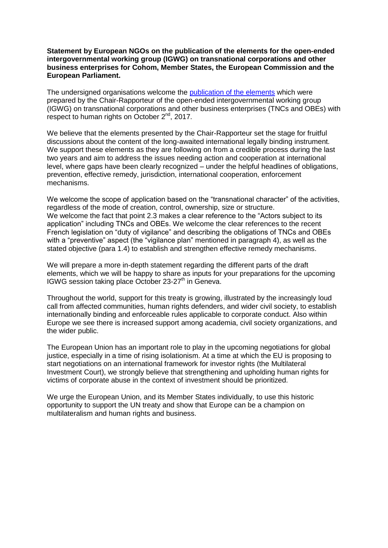## **Statement by European NGOs on the publication of the elements for the open-ended intergovernmental working group (IGWG) on transnational corporations and other business enterprises for Cohom, Member States, the European Commission and the European Parliament.**

The undersigned organisations welcome the [publication of the elements](http://www.ohchr.org/Documents/HRBodies/HRCouncil/WGTransCorp/Session3/LegallyBindingInstrumentTNCs_OBEs.pdf) which were prepared by the Chair-Rapporteur of the open-ended intergovernmental working group (IGWG) on transnational corporations and other business enterprises (TNCs and OBEs) with respect to human rights on October 2<sup>nd</sup>, 2017.

We believe that the elements presented by the Chair-Rapporteur set the stage for fruitful discussions about the content of the long-awaited international legally binding instrument. We support these elements as they are following on from a credible process during the last two years and aim to address the issues needing action and cooperation at international level, where gaps have been clearly recognized – under the helpful headlines of obligations, prevention, effective remedy, jurisdiction, international cooperation, enforcement mechanisms.

We welcome the scope of application based on the "transnational character" of the activities. regardless of the mode of creation, control, ownership, size or structure. We welcome the fact that point 2.3 makes a clear reference to the "Actors subject to its application" including TNCs and OBEs. We welcome the clear references to the recent French legislation on "duty of vigilance" and describing the obligations of TNCs and OBEs with a "preventive" aspect (the "vigilance plan" mentioned in paragraph 4), as well as the stated objective (para 1.4) to establish and strengthen effective remedy mechanisms.

We will prepare a more in-depth statement regarding the different parts of the draft elements, which we will be happy to share as inputs for your preparations for the upcoming IGWG session taking place October  $23-27<sup>th</sup>$  in Geneva.

Throughout the world, support for this treaty is growing, illustrated by the increasingly loud call from affected communities, human rights defenders, and wider civil society, to establish internationally binding and enforceable rules applicable to corporate conduct. Also within Europe we see there is increased support among academia, civil society organizations, and the wider public.

The European Union has an important role to play in the upcoming negotiations for global justice, especially in a time of rising isolationism. At a time at which the EU is proposing to start negotiations on an international framework for investor rights (the Multilateral Investment Court), we strongly believe that strengthening and upholding human rights for victims of corporate abuse in the context of investment should be prioritized.

We urge the European Union, and its Member States individually, to use this historic opportunity to support the UN treaty and show that Europe can be a champion on multilateralism and human rights and business.